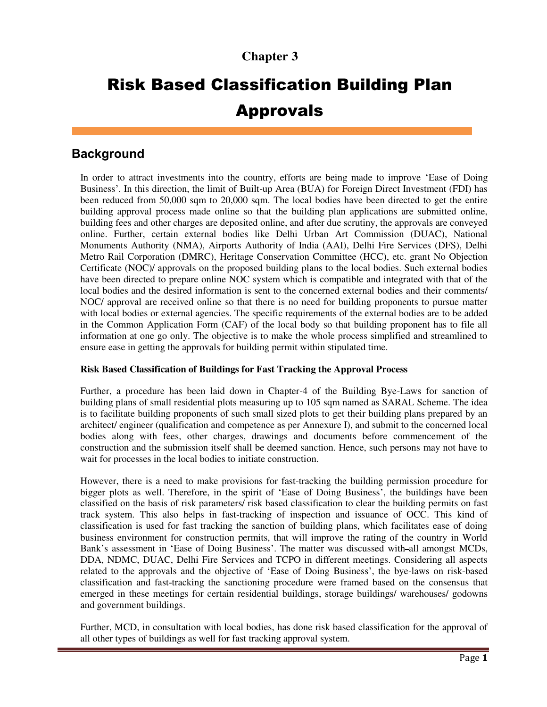# **Chapter 3**

# Risk Based Classification Building Plan Approvals

# **Background**

In order to attract investments into the country, efforts are being made to improve 'Ease of Doing Business'. In this direction, the limit of Built-up Area (BUA) for Foreign Direct Investment (FDI) has been reduced from 50,000 sqm to 20,000 sqm. The local bodies have been directed to get the entire building approval process made online so that the building plan applications are submitted online, building fees and other charges are deposited online, and after due scrutiny, the approvals are conveyed online. Further, certain external bodies like Delhi Urban Art Commission (DUAC), National Monuments Authority (NMA), Airports Authority of India (AAI), Delhi Fire Services (DFS), Delhi Metro Rail Corporation (DMRC), Heritage Conservation Committee (HCC), etc. grant No Objection Certificate (NOC)/ approvals on the proposed building plans to the local bodies. Such external bodies have been directed to prepare online NOC system which is compatible and integrated with that of the local bodies and the desired information is sent to the concerned external bodies and their comments/ NOC/ approval are received online so that there is no need for building proponents to pursue matter with local bodies or external agencies. The specific requirements of the external bodies are to be added in the Common Application Form (CAF) of the local body so that building proponent has to file all information at one go only. The objective is to make the whole process simplified and streamlined to ensure ease in getting the approvals for building permit within stipulated time.

# **Risk Based Classification of Buildings for Fast Tracking the Approval Process**

Further, a procedure has been laid down in Chapter-4 of the Building Bye-Laws for sanction of building plans of small residential plots measuring up to 105 sqm named as SARAL Scheme. The idea is to facilitate building proponents of such small sized plots to get their building plans prepared by an architect/ engineer (qualification and competence as per Annexure I), and submit to the concerned local bodies along with fees, other charges, drawings and documents before commencement of the construction and the submission itself shall be deemed sanction. Hence, such persons may not have to wait for processes in the local bodies to initiate construction.

However, there is a need to make provisions for fast-tracking the building permission procedure for bigger plots as well. Therefore, in the spirit of 'Ease of Doing Business', the buildings have been classified on the basis of risk parameters/ risk based classification to clear the building permits on fast track system. This also helps in fast-tracking of inspection and issuance of OCC. This kind of classification is used for fast tracking the sanction of building plans, which facilitates ease of doing business environment for construction permits, that will improve the rating of the country in World Bank's assessment in 'Ease of Doing Business'. The matter was discussed with all amongst MCDs, DDA, NDMC, DUAC, Delhi Fire Services and TCPO in different meetings. Considering all aspects related to the approvals and the objective of 'Ease of Doing Business', the bye-laws on risk-based classification and fast-tracking the sanctioning procedure were framed based on the consensus that emerged in these meetings for certain residential buildings, storage buildings/ warehouses/ godowns and government buildings.

Further, MCD, in consultation with local bodies, has done risk based classification for the approval of all other types of buildings as well for fast tracking approval system.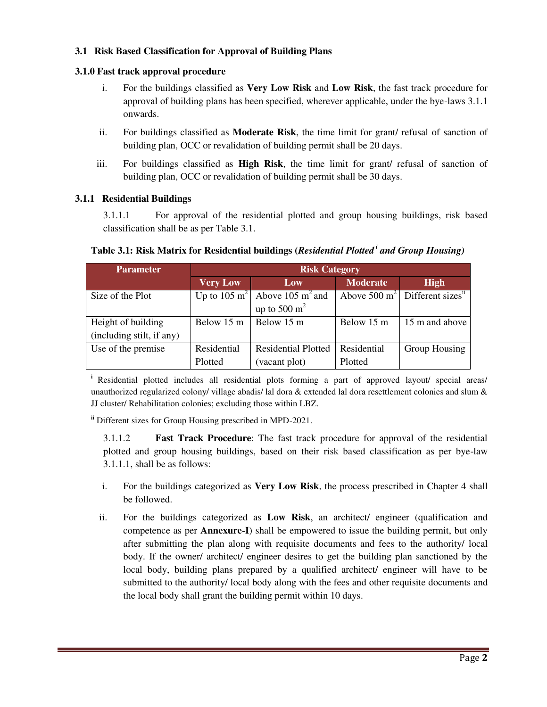# **3.1 Risk Based Classification for Approval of Building Plans**

#### **3.1.0 Fast track approval procedure**

- i. For the buildings classified as **Very Low Risk** and **Low Risk**, the fast track procedure for approval of building plans has been specified, wherever applicable, under the bye-laws 3.1.1 onwards.
- ii. For buildings classified as **Moderate Risk**, the time limit for grant/ refusal of sanction of building plan, OCC or revalidation of building permit shall be 20 days.
- iii. For buildings classified as **High Risk**, the time limit for grant/ refusal of sanction of building plan, OCC or revalidation of building permit shall be 30 days.

#### **3.1.1 Residential Buildings**

3.1.1.1 For approval of the residential plotted and group housing buildings, risk based classification shall be as per Table 3.1.

| <b>Parameter</b>          | <b>Risk Category</b> |                                                       |                 |                                                                  |  |
|---------------------------|----------------------|-------------------------------------------------------|-----------------|------------------------------------------------------------------|--|
|                           | <b>Very Low</b>      | Low                                                   | <b>Moderate</b> | <b>High</b>                                                      |  |
| Size of the Plot          |                      | Up to 105 m <sup>2</sup> Above 105 m <sup>2</sup> and |                 | Above $\overline{500 \text{ m}^2}$ Different sizes <sup>ii</sup> |  |
|                           |                      | up to 500 $m2$                                        |                 |                                                                  |  |
| Height of building        | Below 15 m           | Below 15 m                                            | Below 15 m      | 15 m and above                                                   |  |
| (including stilt, if any) |                      |                                                       |                 |                                                                  |  |
| Use of the premise        | Residential          | <b>Residential Plotted</b>                            | Residential     | Group Housing                                                    |  |
|                           | Plotted              | (vacant plot)                                         | Plotted         |                                                                  |  |

#### **Table 3.1: Risk Matrix for Residential buildings (***Residential Plotted<sup>i</sup> and Group Housing)*

<sup>i</sup> Residential plotted includes all residential plots forming a part of approved layout/ special areas/ unauthorized regularized colony/ village abadis/ lal dora & extended lal dora resettlement colonies and slum & JJ cluster/ Rehabilitation colonies; excluding those within LBZ.

**ii** Different sizes for Group Housing prescribed in MPD-2021.

3.1.1.2 **Fast Track Procedure**: The fast track procedure for approval of the residential plotted and group housing buildings, based on their risk based classification as per bye-law 3.1.1.1, shall be as follows:

- i. For the buildings categorized as **Very Low Risk**, the process prescribed in Chapter 4 shall be followed.
- ii. For the buildings categorized as **Low Risk**, an architect/ engineer (qualification and competence as per **Annexure-I**) shall be empowered to issue the building permit, but only after submitting the plan along with requisite documents and fees to the authority/ local body. If the owner/ architect/ engineer desires to get the building plan sanctioned by the local body, building plans prepared by a qualified architect/ engineer will have to be submitted to the authority/ local body along with the fees and other requisite documents and the local body shall grant the building permit within 10 days.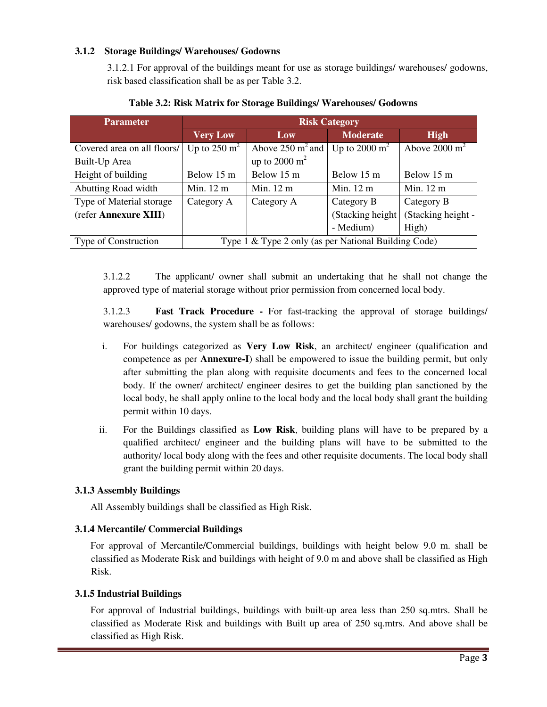#### **3.1.2 Storage Buildings/ Warehouses/ Godowns**

3.1.2.1 For approval of the buildings meant for use as storage buildings/ warehouses/ godowns, risk based classification shall be as per Table 3.2.

| <b>Parameter</b>            | <b>Risk Category</b>                                 |                     |                   |                          |
|-----------------------------|------------------------------------------------------|---------------------|-------------------|--------------------------|
|                             | <b>Very Low</b>                                      | Low                 | <b>Moderate</b>   | <b>High</b>              |
| Covered area on all floors/ | Up to $250 \text{ m}^2$                              | Above 250 $m^2$ and | Up to 2000 $m^2$  | Above $2000 \text{ m}^2$ |
| Built-Up Area               |                                                      | up to 2000 $m2$     |                   |                          |
| Height of building          | Below 15 m                                           | Below 15 m          | Below 15 m        | Below 15 m               |
| Abutting Road width         | Min. 12 m                                            | Min. 12 m           | Min. 12 m         | Min. 12 m                |
| Type of Material storage    | Category A                                           | Category A          | Category B        | Category B               |
| (refer Annexure XIII)       |                                                      |                     | (Stacking height) | (Stacking height -       |
|                             |                                                      |                     | - Medium)         | High)                    |
| Type of Construction        | Type 1 & Type 2 only (as per National Building Code) |                     |                   |                          |

**Table 3.2: Risk Matrix for Storage Buildings/ Warehouses/ Godowns** 

3.1.2.2 The applicant/ owner shall submit an undertaking that he shall not change the approved type of material storage without prior permission from concerned local body.

3.1.2.3 **Fast Track Procedure -** For fast-tracking the approval of storage buildings/ warehouses/ godowns, the system shall be as follows:

- i. For buildings categorized as **Very Low Risk**, an architect/ engineer (qualification and competence as per **Annexure-I**) shall be empowered to issue the building permit, but only after submitting the plan along with requisite documents and fees to the concerned local body. If the owner/ architect/ engineer desires to get the building plan sanctioned by the local body, he shall apply online to the local body and the local body shall grant the building permit within 10 days.
- ii. For the Buildings classified as **Low Risk**, building plans will have to be prepared by a qualified architect/ engineer and the building plans will have to be submitted to the authority/ local body along with the fees and other requisite documents. The local body shall grant the building permit within 20 days.

# **3.1.3 Assembly Buildings**

All Assembly buildings shall be classified as High Risk.

# **3.1.4 Mercantile/ Commercial Buildings**

For approval of Mercantile/Commercial buildings, buildings with height below 9.0 m. shall be classified as Moderate Risk and buildings with height of 9.0 m and above shall be classified as High Risk.

#### **3.1.5 Industrial Buildings**

For approval of Industrial buildings, buildings with built-up area less than 250 sq.mtrs. Shall be classified as Moderate Risk and buildings with Built up area of 250 sq.mtrs. And above shall be classified as High Risk.